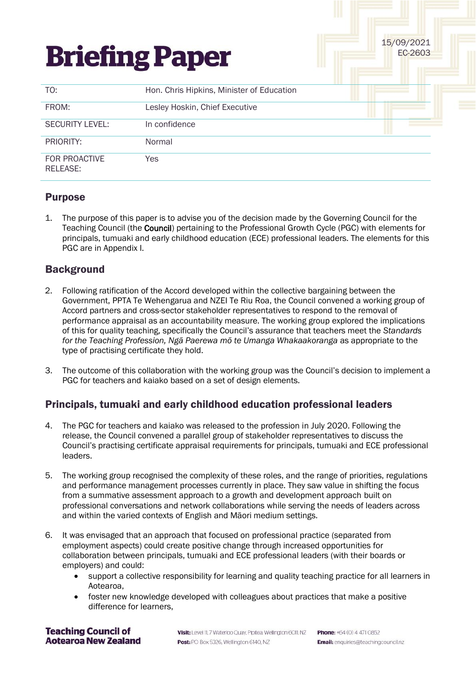# **Briefing Paper**

| TO:                       | Hon. Chris Hipkins, Minister of Education |  |  |
|---------------------------|-------------------------------------------|--|--|
| FROM:                     | Lesley Hoskin, Chief Executive            |  |  |
| <b>SECURITY LEVEL:</b>    | In confidence                             |  |  |
| PRIORITY:                 | Normal                                    |  |  |
| FOR PROACTIVE<br>RELEASE: | Yes                                       |  |  |

## Purpose

1. The purpose of this paper is to advise you of the decision made by the Governing Council for the Teaching Council (the Council) pertaining to the Professional Growth Cycle (PGC) with elements for principals, tumuaki and early childhood education (ECE) professional leaders. The elements for this PGC are in Appendix I.

# **Background**

- 2. Following ratification of the Accord developed within the collective bargaining between the Government, PPTA Te Wehengarua and NZEI Te Riu Roa, the Council convened a working group of Accord partners and cross-sector stakeholder representatives to respond to the removal of performance appraisal as an accountability measure. The working group explored the implications of this for quality teaching, specifically the Council's assurance that teachers meet the *Standards for the Teaching Profession, Ngā Paerewa mō te Umanga Whakaakoranga* as appropriate to the type of practising certificate they hold.
- 3. The outcome of this collaboration with the working group was the Council's decision to implement a PGC for teachers and kaiako based on a set of design elements.

# Principals, tumuaki and early childhood education professional leaders

- 4. The PGC for teachers and kaiako was released to the profession in July 2020. Following the release, the Council convened a parallel group of stakeholder representatives to discuss the Council's practising certificate appraisal requirements for principals, tumuaki and ECE professional leaders.
- 5. The working group recognised the complexity of these roles, and the range of priorities, regulations and performance management processes currently in place. They saw value in shifting the focus from a summative assessment approach to a growth and development approach built on professional conversations and network collaborations while serving the needs of leaders across and within the varied contexts of English and Māori medium settings.
- 6. It was envisaged that an approach that focused on professional practice (separated from employment aspects) could create positive change through increased opportunities for collaboration between principals, tumuaki and ECE professional leaders (with their boards or employers) and could:
	- support a collective responsibility for learning and quality teaching practice for all learners in Aotearoa,
	- foster new knowledge developed with colleagues about practices that make a positive difference for learners,

#### **Teaching Council of Aotearoa New Zealand**

Visit: Level 11, 7 Waterloo Quay, Pipitea, Wellington 6011, NZ Post: PO Box 5326, Wellington 6140, NZ

15/09/2021 EC-2603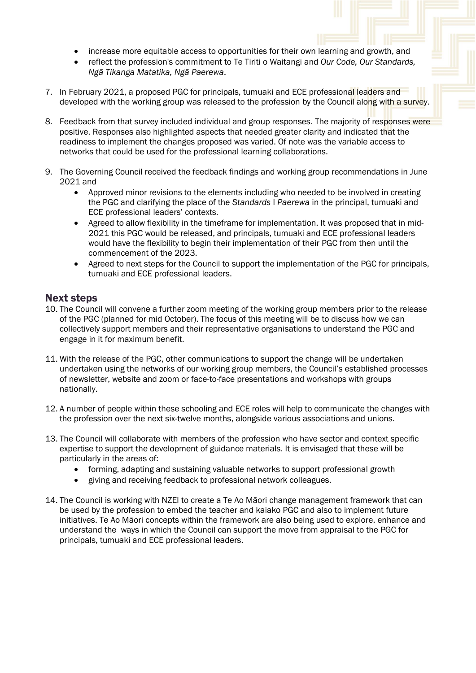- increase more equitable access to opportunities for their own learning and growth, and
- reflect the profession's commitment to Te Tiriti o Waitangi and *Our Code, Our Standards, Ngā Tikanga Matatika, Ngā Paerewa*.
- 7. In February 2021, a proposed PGC for principals, tumuaki and ECE professional leaders and developed with the working group was released to the profession by the Council along with a survey.
- 8. Feedback from that survey included individual and group responses. The majority of responses were positive. Responses also highlighted aspects that needed greater clarity and indicated that the readiness to implement the changes proposed was varied. Of note was the variable access to networks that could be used for the professional learning collaborations.
- 9. The Governing Council received the feedback findings and working group recommendations in June 2021 and
	- Approved minor revisions to the elements including who needed to be involved in creating the PGC and clarifying the place of the *Standards* I *Paerewa* in the principal, tumuaki and ECE professional leaders' contexts.
	- Agreed to allow flexibility in the timeframe for implementation. It was proposed that in mid-2021 this PGC would be released, and principals, tumuaki and ECE professional leaders would have the flexibility to begin their implementation of their PGC from then until the commencement of the 2023.
	- Agreed to next steps for the Council to support the implementation of the PGC for principals, tumuaki and ECE professional leaders.

### Next steps

- 10. The Council will convene a further zoom meeting of the working group members prior to the release of the PGC (planned for mid October). The focus of this meeting will be to discuss how we can collectively support members and their representative organisations to understand the PGC and engage in it for maximum benefit.
- 11. With the release of the PGC, other communications to support the change will be undertaken undertaken using the networks of our working group members, the Council's established processes of newsletter, website and zoom or face-to-face presentations and workshops with groups nationally.
- 12. A number of people within these schooling and ECE roles will help to communicate the changes with the profession over the next six-twelve months, alongside various associations and unions.
- 13. The Council will collaborate with members of the profession who have sector and context specific expertise to support the development of guidance materials. It is envisaged that these will be particularly in the areas of:
	- forming, adapting and sustaining valuable networks to support professional growth
	- giving and receiving feedback to professional network colleagues.
- 14. The Council is working with NZEI to create a Te Ao Māori change management framework that can be used by the profession to embed the teacher and kaiako PGC and also to implement future initiatives. Te Ao Māori concepts within the framework are also being used to explore, enhance and understand the ways in which the Council can support the move from appraisal to the PGC for principals, tumuaki and ECE professional leaders.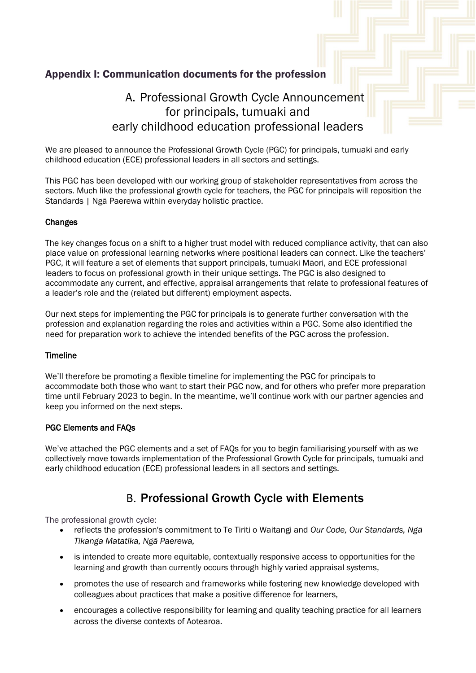# Appendix I: Communication documents for the profession

# A. Professional Growth Cycle Announcement for principals, tumuaki and early childhood education professional leaders

We are pleased to announce the Professional Growth Cycle (PGC) for principals, tumuaki and early childhood education (ECE) professional leaders in all sectors and settings.

This PGC has been developed with our working group of stakeholder representatives from across the sectors. Much like the professional growth cycle for teachers, the PGC for principals will reposition the Standards | Ngā Paerewa within everyday holistic practice.

#### Changes

The key changes focus on a shift to a higher trust model with reduced compliance activity, that can also place value on professional learning networks where positional leaders can connect. Like the teachers' PGC, it will feature a set of elements that support principals, tumuaki Māori, and ECE professional leaders to focus on professional growth in their unique settings. The PGC is also designed to accommodate any current, and effective, appraisal arrangements that relate to professional features of a leader's role and the (related but different) employment aspects.

Our next steps for implementing the PGC for principals is to generate further conversation with the profession and explanation regarding the roles and activities within a PGC. Some also identified the need for preparation work to achieve the intended benefits of the PGC across the profession.

#### Timeline

We'll therefore be promoting a flexible timeline for implementing the PGC for principals to accommodate both those who want to start their PGC now, and for others who prefer more preparation time until February 2023 to begin. In the meantime, we'll continue work with our partner agencies and keep you informed on the next steps.

#### PGC Elements and FAQs

We've attached the PGC elements and a set of FAQs for you to begin familiarising yourself with as we collectively move towards implementation of the Professional Growth Cycle for principals, tumuaki and early childhood education (ECE) professional leaders in all sectors and settings.

# B. Professional Growth Cycle with Elements

The professional growth cycle:

- reflects the profession's commitment to Te Tiriti o Waitangi and *Our Code, Our Standards, Ngā Tikanga Matatika, Ngā Paerewa,*
- is intended to create more equitable, contextually responsive access to opportunities for the learning and growth than currently occurs through highly varied appraisal systems,
- promotes the use of research and frameworks while fostering new knowledge developed with colleagues about practices that make a positive difference for learners,
- encourages a collective responsibility for learning and quality teaching practice for all learners across the diverse contexts of Aotearoa.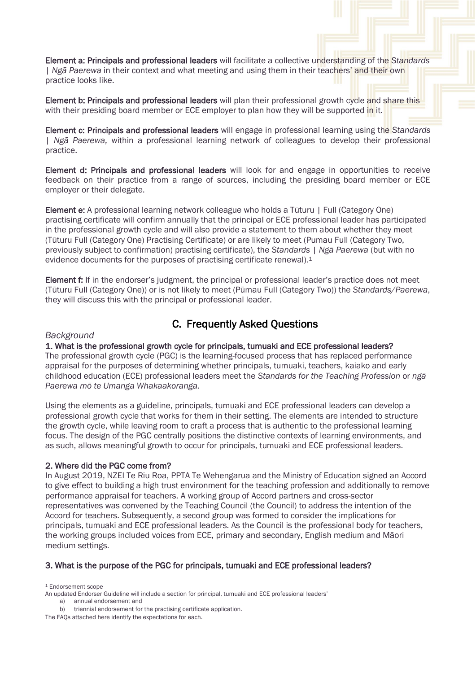Element a: Principals and professional leaders will facilitate a collective understanding of the *Standards | Ngā Paerewa* in their context and what meeting and using them in their teachers' and their own practice looks like.

Element b: Principals and professional leaders will plan their professional growth cycle and share this with their presiding board member or ECE employer to plan how they will be supported in it.

Element c: Principals and professional leaders will engage in professional learning using the *Standards | Ngā Paerewa,* within a professional learning network of colleagues to develop their professional practice.

Element d: Principals and professional leaders will look for and engage in opportunities to receive feedback on their practice from a range of sources, including the presiding board member or ECE employer or their delegate.

Element e: A professional learning network colleague who holds a Tūturu | Full (Category One) practising certificate will confirm annually that the principal or ECE professional leader has participated in the professional growth cycle and will also provide a statement to them about whether they meet (Tūturu Full (Category One) Practising Certificate) or are likely to meet (Pumau Full (Category Two, previously subject to confirmation) practising certificate), the *Standards | Ngā Paerewa* (but with no evidence documents for the purposes of practising certificate renewal). 1

Element f: If in the endorser's judgment, the principal or professional leader's practice does not meet (Tūturu Full (Category One)) or is not likely to meet (Pūmau Full (Category Two)) the *Standards/Paerewa*, they will discuss this with the principal or professional leader.

# C. Frequently Asked Questions

#### *Background*

#### 1. What is the professional growth cycle for principals, tumuaki and ECE professional leaders?

The professional growth cycle (PGC) is the learning-focused process that has replaced performance appraisal for the purposes of determining whether principals, tumuaki, teachers, kaiako and early childhood education (ECE) professional leaders meet the *Standards for the Teaching Profession* or *ngā Paerewa mō te Umanga Whakaakoranga.*

Using the elements as a guideline, principals, tumuaki and ECE professional leaders can develop a professional growth cycle that works for them in their setting. The elements are intended to structure the growth cycle, while leaving room to craft a process that is authentic to the professional learning focus. The design of the PGC centrally positions the distinctive contexts of learning environments, and as such, allows meaningful growth to occur for principals, tumuaki and ECE professional leaders.

#### 2. Where did the PGC come from?

In August 2019, NZEI Te Riu Roa, PPTA Te Wehengarua and the Ministry of Education signed an Accord to give effect to building a high trust environment for the teaching profession and additionally to remove performance appraisal for teachers. A working group of Accord partners and cross-sector representatives was convened by the Teaching Council (the Council) to address the intention of the Accord for teachers. Subsequently, a second group was formed to consider the implications for principals, tumuaki and ECE professional leaders. As the Council is the professional body for teachers, the working groups included voices from ECE, primary and secondary, English medium and Māori medium settings.

#### 3. What is the purpose of the PGC for principals, tumuaki and ECE professional leaders?

<sup>1</sup> Endorsement scope

An updated Endorser Guideline will include a section for principal, tumuaki and ECE professional leaders' a) annual endorsement and

b) triennial endorsement for the practising certificate application.

The FAQs attached here identify the expectations for each.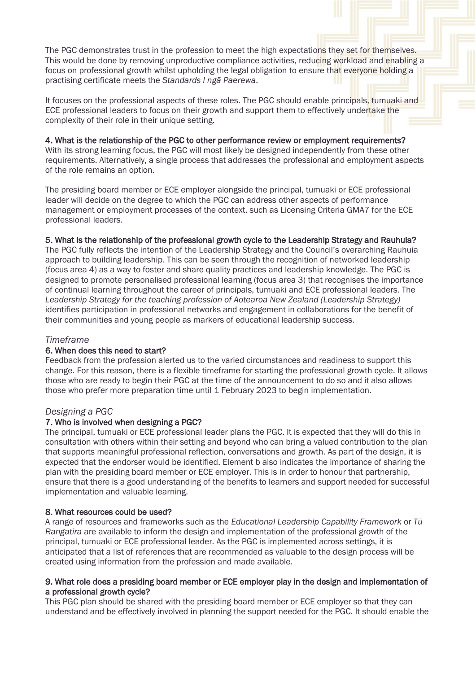The PGC demonstrates trust in the profession to meet the high expectations they set for themselves. This would be done by removing unproductive compliance activities, reducing workload and enabling a focus on professional growth whilst upholding the legal obligation to ensure that everyone holding a practising certificate meets the *Standards l ngā Paerewa*.

It focuses on the professional aspects of these roles. The PGC should enable principals, tumuaki and ECE professional leaders to focus on their growth and support them to effectively undertake the complexity of their role in their unique setting.

#### 4. What is the relationship of the PGC to other performance review or employment requirements?

With its strong learning focus, the PGC will most likely be designed independently from these other requirements. Alternatively, a single process that addresses the professional and employment aspects of the role remains an option.

The presiding board member or ECE employer alongside the principal, tumuaki or ECE professional leader will decide on the degree to which the PGC can address other aspects of performance management or employment processes of the context, such as Licensing Criteria GMA7 for the ECE professional leaders.

#### 5. What is the relationship of the professional growth cycle to the Leadership Strategy and Rauhuia?

The PGC fully reflects the intention of the Leadership Strategy and the Council's overarching Rauhuia approach to building leadership. This can be seen through the recognition of networked leadership (focus area 4) as a way to foster and share quality practices and leadership knowledge. The PGC is designed to promote personalised professional learning (focus area 3) that recognises the importance of continual learning throughout the career of principals, tumuaki and ECE professional leaders. The *Leadership Strategy for the teaching profession of Aotearoa New Zealand (Leadership Strategy)*  identifies participation in professional networks and engagement in collaborations for the benefit of their communities and young people as markers of educational leadership success.

#### *Timeframe*

#### 6. When does this need to start?

Feedback from the profession alerted us to the varied circumstances and readiness to support this change. For this reason, there is a flexible timeframe for starting the professional growth cycle. It allows those who are ready to begin their PGC at the time of the announcement to do so and it also allows those who prefer more preparation time until 1 February 2023 to begin implementation.

#### *Designing a PGC*

#### 7. Who is involved when designing a PGC?

The principal, tumuaki or ECE professional leader plans the PGC. It is expected that they will do this in consultation with others within their setting and beyond who can bring a valued contribution to the plan that supports meaningful professional reflection, conversations and growth. As part of the design, it is expected that the endorser would be identified. Element b also indicates the importance of sharing the plan with the presiding board member or ECE employer. This is in order to honour that partnership, ensure that there is a good understanding of the benefits to learners and support needed for successful implementation and valuable learning.

#### 8. What resources could be used?

A range of resources and frameworks such as the *Educational Leadership Capability Framework* or *Tū Rangatira* are available to inform the design and implementation of the professional growth of the principal, tumuaki or ECE professional leader. As the PGC is implemented across settings, it is anticipated that a list of references that are recommended as valuable to the design process will be created using information from the profession and made available.

#### 9. What role does a presiding board member or ECE employer play in the design and implementation of a professional growth cycle?

This PGC plan should be shared with the presiding board member or ECE employer so that they can understand and be effectively involved in planning the support needed for the PGC. It should enable the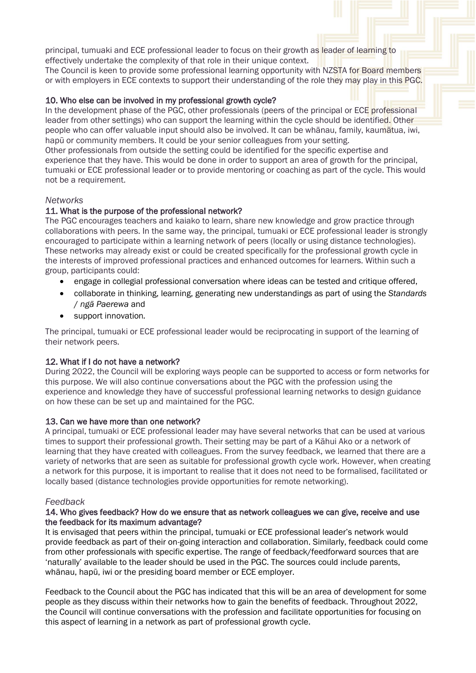principal, tumuaki and ECE professional leader to focus on their growth as leader of learning to effectively undertake the complexity of that role in their unique context.

The Council is keen to provide some professional learning opportunity with NZSTA for Board members or with employers in ECE contexts to support their understanding of the role they may play in this PGC.

#### 10. Who else can be involved in my professional growth cycle?

In the development phase of the PGC, other professionals (peers of the principal or ECE professional leader from other settings) who can support the learning within the cycle should be identified. Other people who can offer valuable input should also be involved. It can be whānau, family, kaumātua, iwi, hapū or community members. It could be your senior colleagues from your setting. Other professionals from outside the setting could be identified for the specific expertise and experience that they have. This would be done in order to support an area of growth for the principal, tumuaki or ECE professional leader or to provide mentoring or coaching as part of the cycle. This would not be a requirement.

#### *Networks*

#### 11. What is the purpose of the professional network?

The PGC encourages teachers and kaiako to learn, share new knowledge and grow practice through collaborations with peers. In the same way, the principal, tumuaki or ECE professional leader is strongly encouraged to participate within a learning network of peers (locally or using distance technologies). These networks may already exist or could be created specifically for the professional growth cycle in the interests of improved professional practices and enhanced outcomes for learners. Within such a group, participants could:

- engage in collegial professional conversation where ideas can be tested and critique offered,
- collaborate in thinking, learning, generating new understandings as part of using the *Standards*  / *ngā Paerewa* and
- support innovation*.*

The principal, tumuaki or ECE professional leader would be reciprocating in support of the learning of their network peers.

#### 12. What if I do not have a network?

During 2022, the Council will be exploring ways people can be supported to access or form networks for this purpose. We will also continue conversations about the PGC with the profession using the experience and knowledge they have of successful professional learning networks to design guidance on how these can be set up and maintained for the PGC.

#### 13. Can we have more than one network?

A principal, tumuaki or ECE professional leader may have several networks that can be used at various times to support their professional growth. Their setting may be part of a Kāhui Ako or a network of learning that they have created with colleagues. From the survey feedback, we learned that there are a variety of networks that are seen as suitable for professional growth cycle work. However, when creating a network for this purpose, it is important to realise that it does not need to be formalised, facilitated or locally based (distance technologies provide opportunities for remote networking).

#### *Feedback*

#### 14. Who gives feedback? How do we ensure that as network colleagues we can give, receive and use the feedback for its maximum advantage?

It is envisaged that peers within the principal, tumuaki or ECE professional leader's network would provide feedback as part of their on-going interaction and collaboration. Similarly, feedback could come from other professionals with specific expertise. The range of feedback/feedforward sources that are 'naturally' available to the leader should be used in the PGC. The sources could include parents, whānau, hapū, iwi or the presiding board member or ECE employer.

Feedback to the Council about the PGC has indicated that this will be an area of development for some people as they discuss within their networks how to gain the benefits of feedback. Throughout 2022, the Council will continue conversations with the profession and facilitate opportunities for focusing on this aspect of learning in a network as part of professional growth cycle.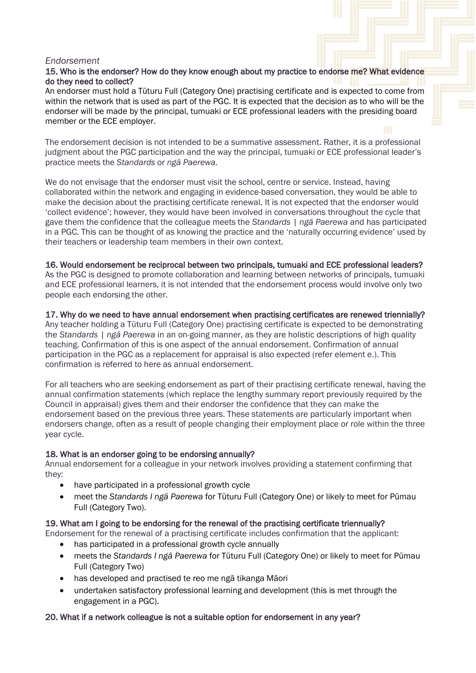#### *Endorsement*

#### 15. Who is the endorser? How do they know enough about my practice to endorse me? What evidence do they need to collect?

An endorser must hold a Tūturu Full (Category One) practising certificate and is expected to come from within the network that is used as part of the PGC. It is expected that the decision as to who will be the endorser will be made by the principal, tumuaki or ECE professional leaders with the presiding board member or the ECE employer.

The endorsement decision is not intended to be a summative assessment. Rather, it is a professional judgment about the PGC participation and the way the principal, tumuaki or ECE professional leader's practice meets the *Standards* or *ngā Paerewa.* 

We do not envisage that the endorser must visit the school, centre or service. Instead, having collaborated within the network and engaging in evidence-based conversation, they would be able to make the decision about the practising certificate renewal. It is not expected that the endorser would 'collect evidence'; however, they would have been involved in conversations throughout the cycle that gave them the confidence that the colleague meets the *Standards | ngā Paerewa* and has participated in a PGC. This can be thought of as knowing the practice and the 'naturally occurring evidence' used by their teachers or leadership team members in their own context.

#### 16. Would endorsement be reciprocal between two principals, tumuaki and ECE professional leaders?

As the PGC is designed to promote collaboration and learning between networks of principals, tumuaki and ECE professional learners, it is not intended that the endorsement process would involve only two people each endorsing the other.

#### 17. Why do we need to have annual endorsement when practising certificates are renewed triennially?

Any teacher holding a Tūturu Full (Category One) practising certificate is expected to be demonstrating the *Standards | ngā Paerewa* in an on-going manner, as they are holistic descriptions of high quality teaching. Confirmation of this is one aspect of the annual endorsement. Confirmation of annual participation in the PGC as a replacement for appraisal is also expected (refer element e.). This confirmation is referred to here as annual endorsement.

For all teachers who are seeking endorsement as part of their practising certificate renewal, having the annual confirmation statements (which replace the lengthy summary report previously required by the Council in appraisal) gives them and their endorser the confidence that they can make the endorsement based on the previous three years. These statements are particularly important when endorsers change, often as a result of people changing their employment place or role within the three year cycle.

#### 18. What is an endorser going to be endorsing annually?

Annual endorsement for a colleague in your network involves providing a statement confirming that they:

- have participated in a professional growth cycle
- meet the *Standards I ngā Paerewa* for Tūturu Full (Category One) or likely to meet for Pūmau Full (Category Two).

#### 19. What am I going to be endorsing for the renewal of the practising certificate triennually?

Endorsement for the renewal of a practising certificate includes confirmation that the applicant:

- has participated in a professional growth cycle annually
- meets the *Standards I ngā Paerewa* for Tūturu Full (Category One) or likely to meet for Pūmau Full (Category Two)
- has developed and practised te reo me ngā tikanga Māori
- undertaken satisfactory professional learning and development (this is met through the engagement in a PGC).

#### 20. What if a network colleague is not a suitable option for endorsement in any year?